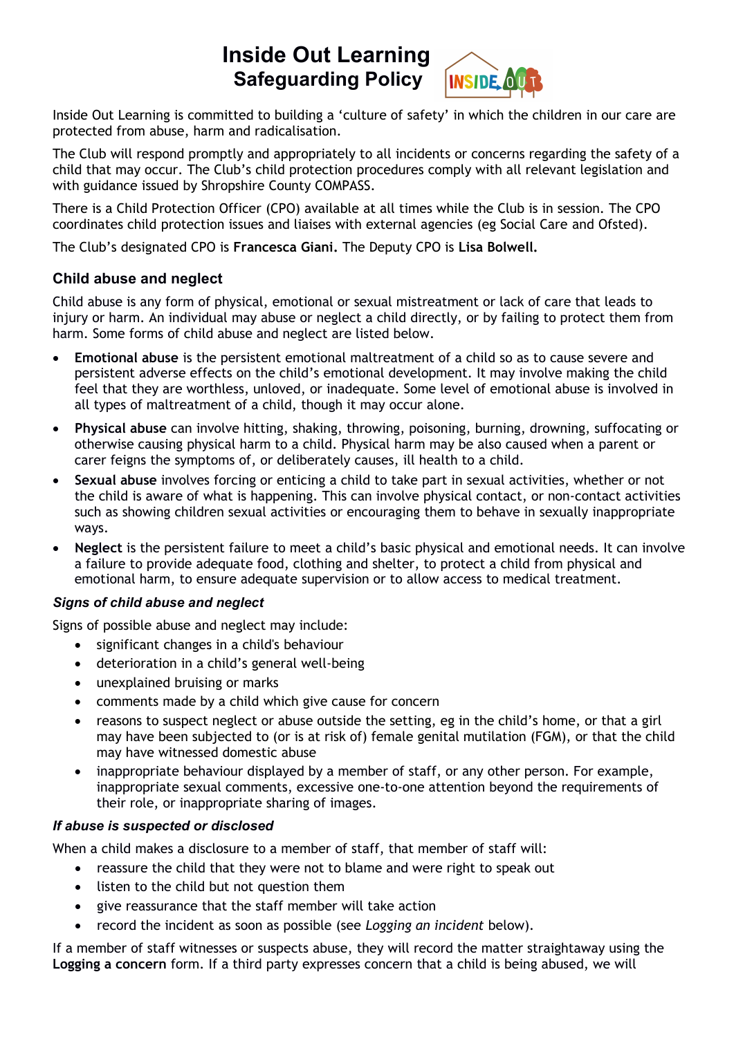# **Inside Out Learning Safeguarding Policy**



Inside Out Learning is committed to building a 'culture of safety' in which the children in our care are protected from abuse, harm and radicalisation.

The Club will respond promptly and appropriately to all incidents or concerns regarding the safety of a child that may occur. The Club's child protection procedures comply with all relevant legislation and with guidance issued by Shropshire County COMPASS.

There is a Child Protection Officer (CPO) available at all times while the Club is in session. The CPO coordinates child protection issues and liaises with external agencies (eg Social Care and Ofsted).

The Club's designated CPO is **Francesca Giani.** The Deputy CPO is **Lisa Bolwell.**

# **Child abuse and neglect**

Child abuse is any form of physical, emotional or sexual mistreatment or lack of care that leads to injury or harm. An individual may abuse or neglect a child directly, or by failing to protect them from harm. Some forms of child abuse and neglect are listed below.

- **Emotional abuse** is the persistent emotional maltreatment of a child so as to cause severe and persistent adverse effects on the child's emotional development. It may involve making the child feel that they are worthless, unloved, or inadequate. Some level of emotional abuse is involved in all types of maltreatment of a child, though it may occur alone.
- **Physical abuse** can involve hitting, shaking, throwing, poisoning, burning, drowning, suffocating or otherwise causing physical harm to a child. Physical harm may be also caused when a parent or carer feigns the symptoms of, or deliberately causes, ill health to a child.
- **Sexual abuse** involves forcing or enticing a child to take part in sexual activities, whether or not the child is aware of what is happening. This can involve physical contact, or non-contact activities such as showing children sexual activities or encouraging them to behave in sexually inappropriate ways.
- **Neglect** is the persistent failure to meet a child's basic physical and emotional needs. It can involve a failure to provide adequate food, clothing and shelter, to protect a child from physical and emotional harm, to ensure adequate supervision or to allow access to medical treatment.

## *Signs of child abuse and neglect*

Signs of possible abuse and neglect may include:

- significant changes in a child's behaviour
- deterioration in a child's general well-being
- unexplained bruising or marks
- comments made by a child which give cause for concern
- reasons to suspect neglect or abuse outside the setting, eg in the child's home, or that a girl may have been subjected to (or is at risk of) female genital mutilation (FGM), or that the child may have witnessed domestic abuse
- inappropriate behaviour displayed by a member of staff, or any other person. For example, inappropriate sexual comments, excessive one-to-one attention beyond the requirements of their role, or inappropriate sharing of images.

## *If abuse is suspected or disclosed*

When a child makes a disclosure to a member of staff, that member of staff will:

- reassure the child that they were not to blame and were right to speak out
- listen to the child but not question them
- give reassurance that the staff member will take action
- record the incident as soon as possible (see *Logging an incident* below).

If a member of staff witnesses or suspects abuse, they will record the matter straightaway using the **Logging a concern** form. If a third party expresses concern that a child is being abused, we will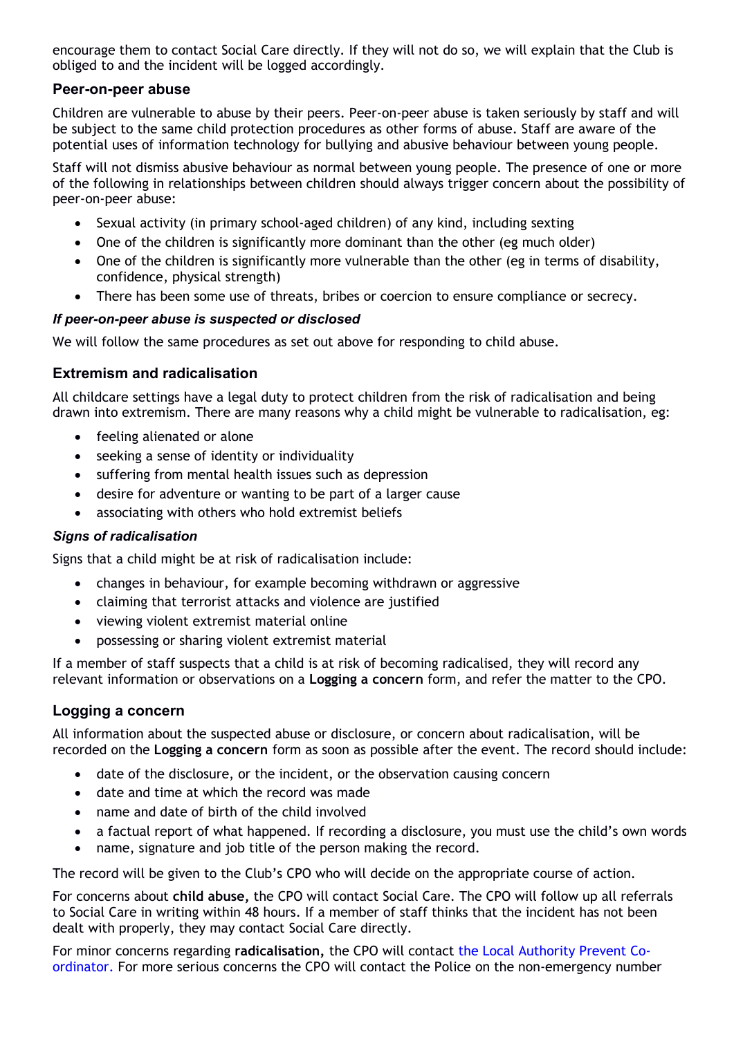encourage them to contact Social Care directly. If they will not do so, we will explain that the Club is obliged to and the incident will be logged accordingly.

### **Peer-on-peer abuse**

Children are vulnerable to abuse by their peers. Peer-on-peer abuse is taken seriously by staff and will be subject to the same child protection procedures as other forms of abuse. Staff are aware of the potential uses of information technology for bullying and abusive behaviour between young people.

Staff will not dismiss abusive behaviour as normal between young people. The presence of one or more of the following in relationships between children should always trigger concern about the possibility of peer-on-peer abuse:

- Sexual activity (in primary school-aged children) of any kind, including sexting
- One of the children is significantly more dominant than the other (eg much older)
- One of the children is significantly more vulnerable than the other (eg in terms of disability, confidence, physical strength)
- There has been some use of threats, bribes or coercion to ensure compliance or secrecy.

#### *If peer-on-peer abuse is suspected or disclosed*

We will follow the same procedures as set out above for responding to child abuse.

## **Extremism and radicalisation**

All childcare settings have a legal duty to protect children from the risk of radicalisation and being drawn into extremism. There are many reasons why a child might be vulnerable to radicalisation, eg:

- feeling alienated or alone
- seeking a sense of identity or individuality
- suffering from mental health issues such as depression
- desire for adventure or wanting to be part of a larger cause
- associating with others who hold extremist beliefs

#### *Signs of radicalisation*

Signs that a child might be at risk of radicalisation include:

- changes in behaviour, for example becoming withdrawn or aggressive
- claiming that terrorist attacks and violence are justified
- viewing violent extremist material online
- possessing or sharing violent extremist material

If a member of staff suspects that a child is at risk of becoming radicalised, they will record any relevant information or observations on a **Logging a concern** form, and refer the matter to the CPO.

## **Logging a concern**

All information about the suspected abuse or disclosure, or concern about radicalisation, will be recorded on the **Logging a concern** form as soon as possible after the event. The record should include:

- date of the disclosure, or the incident, or the observation causing concern
- date and time at which the record was made
- name and date of birth of the child involved
- a factual report of what happened. If recording a disclosure, you must use the child's own words
- name, signature and job title of the person making the record.

The record will be given to the Club's CPO who will decide on the appropriate course of action.

For concerns about **child abuse,** the CPO will contact Social Care. The CPO will follow up all referrals to Social Care in writing within 48 hours. If a member of staff thinks that the incident has not been dealt with properly, they may contact Social Care directly.

For minor concerns regarding **radicalisation,** the CPO will contact the Local Authority Prevent Coordinator. For more serious concerns the CPO will contact the Police on the non-emergency number